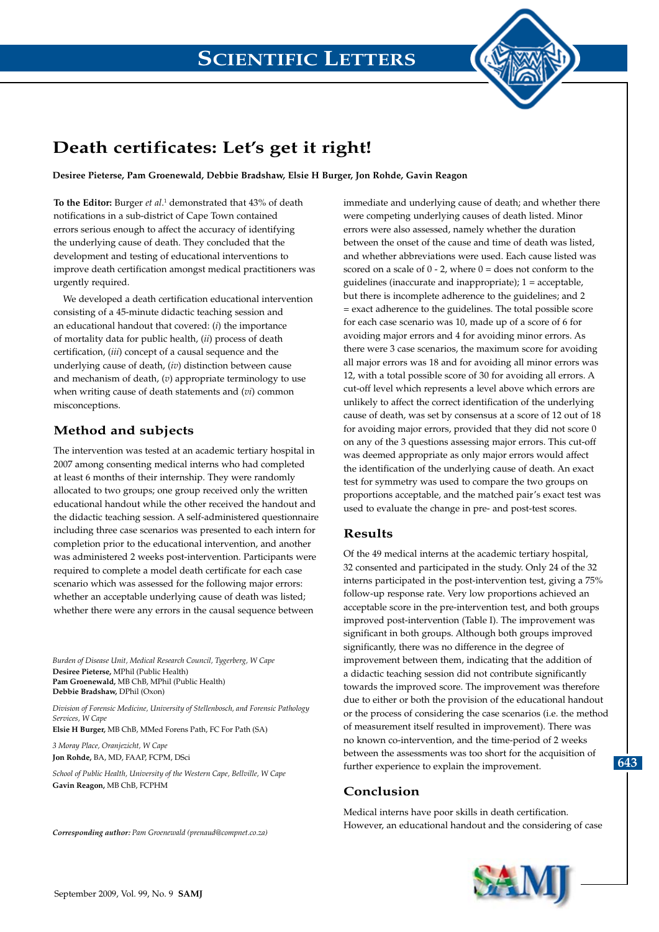

# **Death certificates: Let's get it right!**

**Desiree Pieterse, Pam Groenewald, Debbie Bradshaw, Elsie H Burger, Jon Rohde, Gavin Reagon**

**To the Editor:** Burger *et al*.<sup>1</sup> demonstrated that 43% of death notifications in a sub-district of Cape Town contained errors serious enough to affect the accuracy of identifying the underlying cause of death. They concluded that the development and testing of educational interventions to improve death certification amongst medical practitioners was urgently required.

We developed a death certification educational intervention consisting of a 45-minute didactic teaching session and an educational handout that covered: (*i*) the importance of mortality data for public health, (*ii*) process of death certification, (*iii*) concept of a causal sequence and the underlying cause of death, (*iv*) distinction between cause and mechanism of death, (*v*) appropriate terminology to use when writing cause of death statements and (*vi*) common misconceptions.

## **Method and subjects**

The intervention was tested at an academic tertiary hospital in 2007 among consenting medical interns who had completed at least 6 months of their internship. They were randomly allocated to two groups; one group received only the written educational handout while the other received the handout and the didactic teaching session. A self-administered questionnaire including three case scenarios was presented to each intern for completion prior to the educational intervention, and another was administered 2 weeks post-intervention. Participants were required to complete a model death certificate for each case scenario which was assessed for the following major errors: whether an acceptable underlying cause of death was listed; whether there were any errors in the causal sequence between

*Burden of Disease Unit, Medical Research Council, Tygerberg, W Cape* **Desiree Pieterse,** MPhil (Public Health) **Pam Groenewald,** MB ChB, MPhil (Public Health) **Debbie Bradshaw,** DPhil (Oxon)

*Division of Forensic Medicine, University of Stellenbosch, and Forensic Pathology Services, W Cape*

**Elsie H Burger,** MB ChB, MMed Forens Path, FC For Path (SA)

*3 Moray Place, Oranjezicht, W Cape* **Jon Rohde,** BA, MD, FAAP, FCPM, DSci

*School of Public Health, University of the Western Cape, Bellville, W Cape* **Gavin Reagon,** MB ChB, FCPHM

*Corresponding author: Pam Groenewald (prenaud@compnet.co.za)*

immediate and underlying cause of death; and whether there were competing underlying causes of death listed. Minor errors were also assessed, namely whether the duration between the onset of the cause and time of death was listed, and whether abbreviations were used. Each cause listed was scored on a scale of  $0 - 2$ , where  $0 =$  does not conform to the guidelines (inaccurate and inappropriate); 1 = acceptable, but there is incomplete adherence to the guidelines; and 2 = exact adherence to the guidelines. The total possible score for each case scenario was 10, made up of a score of 6 for avoiding major errors and 4 for avoiding minor errors. As there were 3 case scenarios, the maximum score for avoiding all major errors was 18 and for avoiding all minor errors was 12, with a total possible score of 30 for avoiding all errors. A cut-off level which represents a level above which errors are unlikely to affect the correct identification of the underlying cause of death, was set by consensus at a score of 12 out of 18 for avoiding major errors, provided that they did not score 0 on any of the 3 questions assessing major errors. This cut-off was deemed appropriate as only major errors would affect the identification of the underlying cause of death. An exact test for symmetry was used to compare the two groups on proportions acceptable, and the matched pair's exact test was used to evaluate the change in pre- and post-test scores.

### **Results**

Of the 49 medical interns at the academic tertiary hospital, 32 consented and participated in the study. Only 24 of the 32 interns participated in the post-intervention test, giving a 75% follow-up response rate. Very low proportions achieved an acceptable score in the pre-intervention test, and both groups improved post-intervention (Table I). The improvement was significant in both groups. Although both groups improved significantly, there was no difference in the degree of improvement between them, indicating that the addition of a didactic teaching session did not contribute significantly towards the improved score. The improvement was therefore due to either or both the provision of the educational handout or the process of considering the case scenarios (i.e. the method of measurement itself resulted in improvement). There was no known co-intervention, and the time-period of 2 weeks between the assessments was too short for the acquisition of further experience to explain the improvement.

### **Conclusion**

Medical interns have poor skills in death certification. However, an educational handout and the considering of case